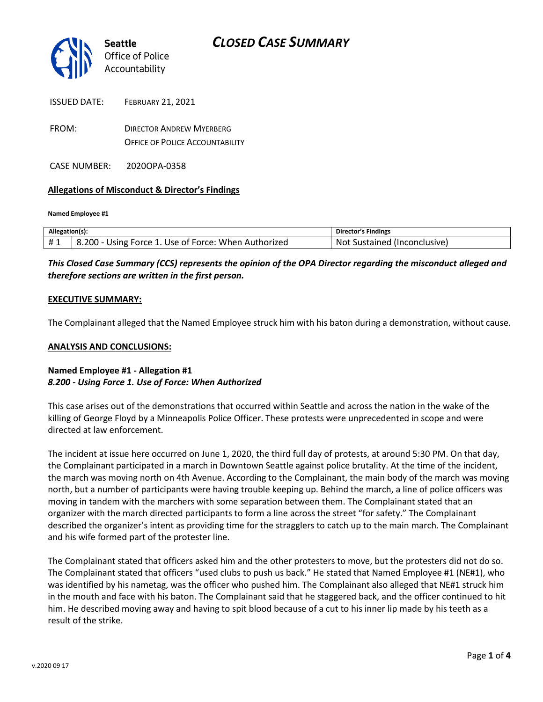

| <b>ISSUED DATE:</b> | <b>FEBRUARY 21, 2021</b>        |
|---------------------|---------------------------------|
| FROM:               | <b>DIRECTOR ANDREW MYERBERG</b> |

OFFICE OF POLICE ACCOUNTABILITY

CASE NUMBER: 2020OPA-0358

### **Allegations of Misconduct & Director's Findings**

**Named Employee #1**

| Allegation(s): |                                                       | Director's Findings              |
|----------------|-------------------------------------------------------|----------------------------------|
| #1             | 8.200<br>Using Force 1. Use of Force: When Authorized | Sustained (Inconclusive)<br>Not. |

*This Closed Case Summary (CCS) represents the opinion of the OPA Director regarding the misconduct alleged and therefore sections are written in the first person.* 

#### **EXECUTIVE SUMMARY:**

The Complainant alleged that the Named Employee struck him with his baton during a demonstration, without cause.

#### **ANALYSIS AND CONCLUSIONS:**

### **Named Employee #1 - Allegation #1** *8.200 - Using Force 1. Use of Force: When Authorized*

This case arises out of the demonstrations that occurred within Seattle and across the nation in the wake of the killing of George Floyd by a Minneapolis Police Officer. These protests were unprecedented in scope and were directed at law enforcement.

The incident at issue here occurred on June 1, 2020, the third full day of protests, at around 5:30 PM. On that day, the Complainant participated in a march in Downtown Seattle against police brutality. At the time of the incident, the march was moving north on 4th Avenue. According to the Complainant, the main body of the march was moving north, but a number of participants were having trouble keeping up. Behind the march, a line of police officers was moving in tandem with the marchers with some separation between them. The Complainant stated that an organizer with the march directed participants to form a line across the street "for safety." The Complainant described the organizer's intent as providing time for the stragglers to catch up to the main march. The Complainant and his wife formed part of the protester line.

The Complainant stated that officers asked him and the other protesters to move, but the protesters did not do so. The Complainant stated that officers "used clubs to push us back." He stated that Named Employee #1 (NE#1), who was identified by his nametag, was the officer who pushed him. The Complainant also alleged that NE#1 struck him in the mouth and face with his baton. The Complainant said that he staggered back, and the officer continued to hit him. He described moving away and having to spit blood because of a cut to his inner lip made by his teeth as a result of the strike.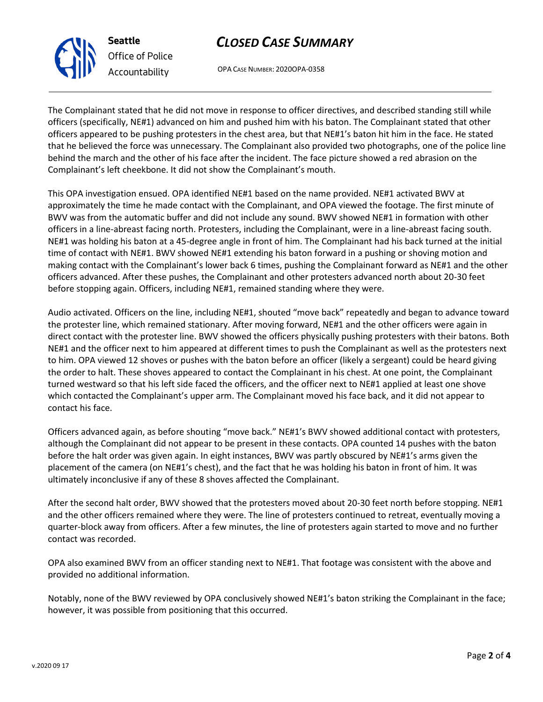## *CLOSED CASE SUMMARY*

OPA CASE NUMBER: 2020OPA-0358

The Complainant stated that he did not move in response to officer directives, and described standing still while officers (specifically, NE#1) advanced on him and pushed him with his baton. The Complainant stated that other officers appeared to be pushing protesters in the chest area, but that NE#1's baton hit him in the face. He stated that he believed the force was unnecessary. The Complainant also provided two photographs, one of the police line behind the march and the other of his face after the incident. The face picture showed a red abrasion on the Complainant's left cheekbone. It did not show the Complainant's mouth.

This OPA investigation ensued. OPA identified NE#1 based on the name provided. NE#1 activated BWV at approximately the time he made contact with the Complainant, and OPA viewed the footage. The first minute of BWV was from the automatic buffer and did not include any sound. BWV showed NE#1 in formation with other officers in a line-abreast facing north. Protesters, including the Complainant, were in a line-abreast facing south. NE#1 was holding his baton at a 45-degree angle in front of him. The Complainant had his back turned at the initial time of contact with NE#1. BWV showed NE#1 extending his baton forward in a pushing or shoving motion and making contact with the Complainant's lower back 6 times, pushing the Complainant forward as NE#1 and the other officers advanced. After these pushes, the Complainant and other protesters advanced north about 20-30 feet before stopping again. Officers, including NE#1, remained standing where they were.

Audio activated. Officers on the line, including NE#1, shouted "move back" repeatedly and began to advance toward the protester line, which remained stationary. After moving forward, NE#1 and the other officers were again in direct contact with the protester line. BWV showed the officers physically pushing protesters with their batons. Both NE#1 and the officer next to him appeared at different times to push the Complainant as well as the protesters next to him. OPA viewed 12 shoves or pushes with the baton before an officer (likely a sergeant) could be heard giving the order to halt. These shoves appeared to contact the Complainant in his chest. At one point, the Complainant turned westward so that his left side faced the officers, and the officer next to NE#1 applied at least one shove which contacted the Complainant's upper arm. The Complainant moved his face back, and it did not appear to contact his face.

Officers advanced again, as before shouting "move back." NE#1's BWV showed additional contact with protesters, although the Complainant did not appear to be present in these contacts. OPA counted 14 pushes with the baton before the halt order was given again. In eight instances, BWV was partly obscured by NE#1's arms given the placement of the camera (on NE#1's chest), and the fact that he was holding his baton in front of him. It was ultimately inconclusive if any of these 8 shoves affected the Complainant.

After the second halt order, BWV showed that the protesters moved about 20-30 feet north before stopping. NE#1 and the other officers remained where they were. The line of protesters continued to retreat, eventually moving a quarter-block away from officers. After a few minutes, the line of protesters again started to move and no further contact was recorded.

OPA also examined BWV from an officer standing next to NE#1. That footage was consistent with the above and provided no additional information.

Notably, none of the BWV reviewed by OPA conclusively showed NE#1's baton striking the Complainant in the face; however, it was possible from positioning that this occurred.



**Seattle** *Office of Police Accountability*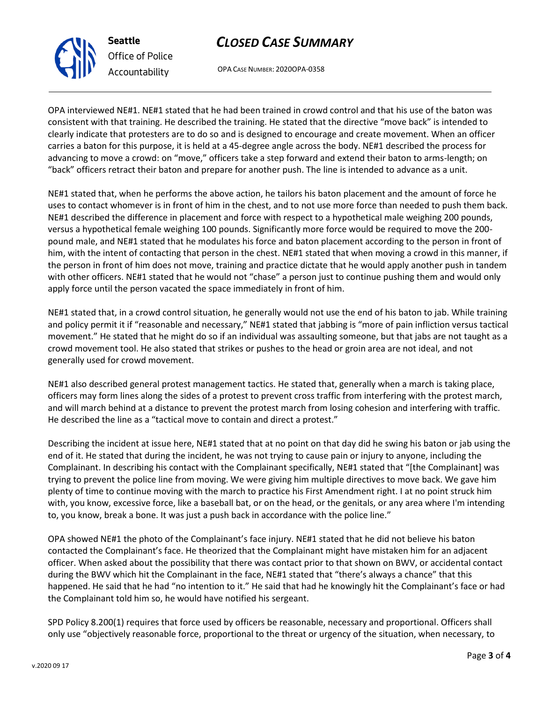## *CLOSED CASE SUMMARY*

OPA CASE NUMBER: 2020OPA-0358

OPA interviewed NE#1. NE#1 stated that he had been trained in crowd control and that his use of the baton was consistent with that training. He described the training. He stated that the directive "move back" is intended to clearly indicate that protesters are to do so and is designed to encourage and create movement. When an officer carries a baton for this purpose, it is held at a 45-degree angle across the body. NE#1 described the process for advancing to move a crowd: on "move," officers take a step forward and extend their baton to arms-length; on "back" officers retract their baton and prepare for another push. The line is intended to advance as a unit.

NE#1 stated that, when he performs the above action, he tailors his baton placement and the amount of force he uses to contact whomever is in front of him in the chest, and to not use more force than needed to push them back. NE#1 described the difference in placement and force with respect to a hypothetical male weighing 200 pounds, versus a hypothetical female weighing 100 pounds. Significantly more force would be required to move the 200 pound male, and NE#1 stated that he modulates his force and baton placement according to the person in front of him, with the intent of contacting that person in the chest. NE#1 stated that when moving a crowd in this manner, if the person in front of him does not move, training and practice dictate that he would apply another push in tandem with other officers. NE#1 stated that he would not "chase" a person just to continue pushing them and would only apply force until the person vacated the space immediately in front of him.

NE#1 stated that, in a crowd control situation, he generally would not use the end of his baton to jab. While training and policy permit it if "reasonable and necessary," NE#1 stated that jabbing is "more of pain infliction versus tactical movement." He stated that he might do so if an individual was assaulting someone, but that jabs are not taught as a crowd movement tool. He also stated that strikes or pushes to the head or groin area are not ideal, and not generally used for crowd movement.

NE#1 also described general protest management tactics. He stated that, generally when a march is taking place, officers may form lines along the sides of a protest to prevent cross traffic from interfering with the protest march, and will march behind at a distance to prevent the protest march from losing cohesion and interfering with traffic. He described the line as a "tactical move to contain and direct a protest."

Describing the incident at issue here, NE#1 stated that at no point on that day did he swing his baton or jab using the end of it. He stated that during the incident, he was not trying to cause pain or injury to anyone, including the Complainant. In describing his contact with the Complainant specifically, NE#1 stated that "[the Complainant] was trying to prevent the police line from moving. We were giving him multiple directives to move back. We gave him plenty of time to continue moving with the march to practice his First Amendment right. I at no point struck him with, you know, excessive force, like a baseball bat, or on the head, or the genitals, or any area where I'm intending to, you know, break a bone. It was just a push back in accordance with the police line."

OPA showed NE#1 the photo of the Complainant's face injury. NE#1 stated that he did not believe his baton contacted the Complainant's face. He theorized that the Complainant might have mistaken him for an adjacent officer. When asked about the possibility that there was contact prior to that shown on BWV, or accidental contact during the BWV which hit the Complainant in the face, NE#1 stated that "there's always a chance" that this happened. He said that he had "no intention to it." He said that had he knowingly hit the Complainant's face or had the Complainant told him so, he would have notified his sergeant.

SPD Policy 8.200(1) requires that force used by officers be reasonable, necessary and proportional. Officers shall only use "objectively reasonable force, proportional to the threat or urgency of the situation, when necessary, to



**Seattle** *Office of Police Accountability*